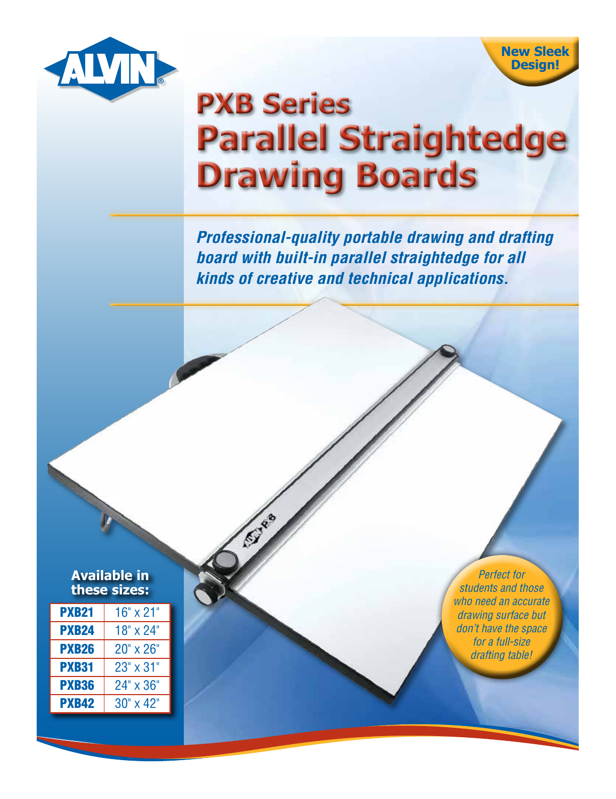

**New Sleek Design!**

## **PXB Series Parallel Straightedge Drawing Boards**

*Professional-quality portable drawing and drafting board with built-in parallel straightedge for all kinds of creative and technical applications.*

| <b>Available in</b> |  |
|---------------------|--|
| these sizes:        |  |

| <b>PXB21</b> | $16" \times 21"$   |
|--------------|--------------------|
| <b>PXB24</b> | 18" x 24"          |
| <b>PXB26</b> | $20" \times 26"$   |
| <b>PXB31</b> | 23" x 31"          |
| <b>PXB36</b> | 24" x 36"          |
| <b>PXB42</b> | $30'' \times 42''$ |

*Perfect for students and those who need an accurate drawing surface but don't have the space for a full-size drafting table!*